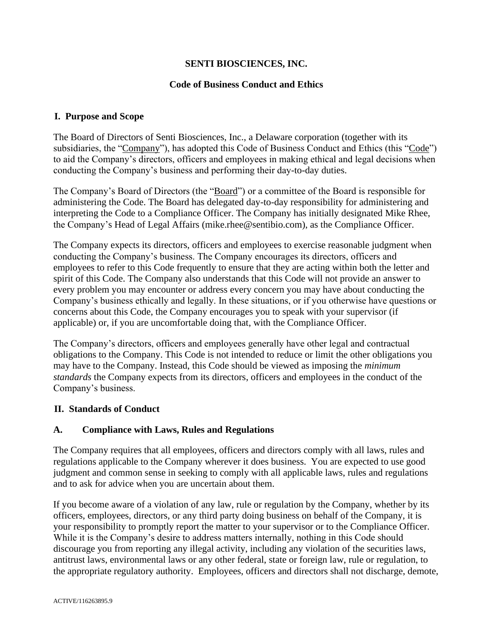### **SENTI BIOSCIENCES, INC.**

#### **Code of Business Conduct and Ethics**

#### **I. Purpose and Scope**

The Board of Directors of Senti Biosciences, Inc., a Delaware corporation (together with its subsidiaries, the "Company"), has adopted this Code of Business Conduct and Ethics (this "Code") to aid the Company's directors, officers and employees in making ethical and legal decisions when conducting the Company's business and performing their day-to-day duties.

The Company's Board of Directors (the "Board") or a committee of the Board is responsible for administering the Code. The Board has delegated day-to-day responsibility for administering and interpreting the Code to a Compliance Officer. The Company has initially designated Mike Rhee, the Company's Head of Legal Affairs (mike.rhee@sentibio.com), as the Compliance Officer.

The Company expects its directors, officers and employees to exercise reasonable judgment when conducting the Company's business. The Company encourages its directors, officers and employees to refer to this Code frequently to ensure that they are acting within both the letter and spirit of this Code. The Company also understands that this Code will not provide an answer to every problem you may encounter or address every concern you may have about conducting the Company's business ethically and legally. In these situations, or if you otherwise have questions or concerns about this Code, the Company encourages you to speak with your supervisor (if applicable) or, if you are uncomfortable doing that, with the Compliance Officer.

The Company's directors, officers and employees generally have other legal and contractual obligations to the Company. This Code is not intended to reduce or limit the other obligations you may have to the Company. Instead, this Code should be viewed as imposing the *minimum standards* the Company expects from its directors, officers and employees in the conduct of the Company's business.

#### **II. Standards of Conduct**

#### **A. Compliance with Laws, Rules and Regulations**

The Company requires that all employees, officers and directors comply with all laws, rules and regulations applicable to the Company wherever it does business. You are expected to use good judgment and common sense in seeking to comply with all applicable laws, rules and regulations and to ask for advice when you are uncertain about them.

If you become aware of a violation of any law, rule or regulation by the Company, whether by its officers, employees, directors, or any third party doing business on behalf of the Company, it is your responsibility to promptly report the matter to your supervisor or to the Compliance Officer. While it is the Company's desire to address matters internally, nothing in this Code should discourage you from reporting any illegal activity, including any violation of the securities laws, antitrust laws, environmental laws or any other federal, state or foreign law, rule or regulation, to the appropriate regulatory authority. Employees, officers and directors shall not discharge, demote,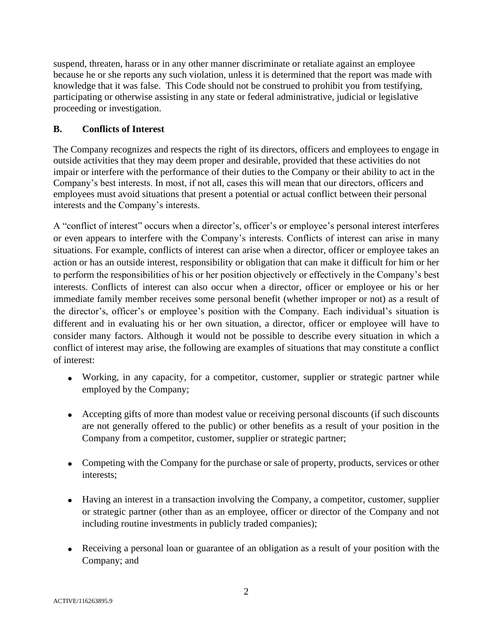suspend, threaten, harass or in any other manner discriminate or retaliate against an employee because he or she reports any such violation, unless it is determined that the report was made with knowledge that it was false. This Code should not be construed to prohibit you from testifying, participating or otherwise assisting in any state or federal administrative, judicial or legislative proceeding or investigation.

### **B. Conflicts of Interest**

The Company recognizes and respects the right of its directors, officers and employees to engage in outside activities that they may deem proper and desirable, provided that these activities do not impair or interfere with the performance of their duties to the Company or their ability to act in the Company's best interests. In most, if not all, cases this will mean that our directors, officers and employees must avoid situations that present a potential or actual conflict between their personal interests and the Company's interests.

A "conflict of interest" occurs when a director's, officer's or employee's personal interest interferes or even appears to interfere with the Company's interests. Conflicts of interest can arise in many situations. For example, conflicts of interest can arise when a director, officer or employee takes an action or has an outside interest, responsibility or obligation that can make it difficult for him or her to perform the responsibilities of his or her position objectively or effectively in the Company's best interests. Conflicts of interest can also occur when a director, officer or employee or his or her immediate family member receives some personal benefit (whether improper or not) as a result of the director's, officer's or employee's position with the Company. Each individual's situation is different and in evaluating his or her own situation, a director, officer or employee will have to consider many factors. Although it would not be possible to describe every situation in which a conflict of interest may arise, the following are examples of situations that may constitute a conflict of interest:

- Working, in any capacity, for a competitor, customer, supplier or strategic partner while employed by the Company;
- Accepting gifts of more than modest value or receiving personal discounts (if such discounts are not generally offered to the public) or other benefits as a result of your position in the Company from a competitor, customer, supplier or strategic partner;
- Competing with the Company for the purchase or sale of property, products, services or other interests;
- Having an interest in a transaction involving the Company, a competitor, customer, supplier or strategic partner (other than as an employee, officer or director of the Company and not including routine investments in publicly traded companies);
- Receiving a personal loan or guarantee of an obligation as a result of your position with the Company; and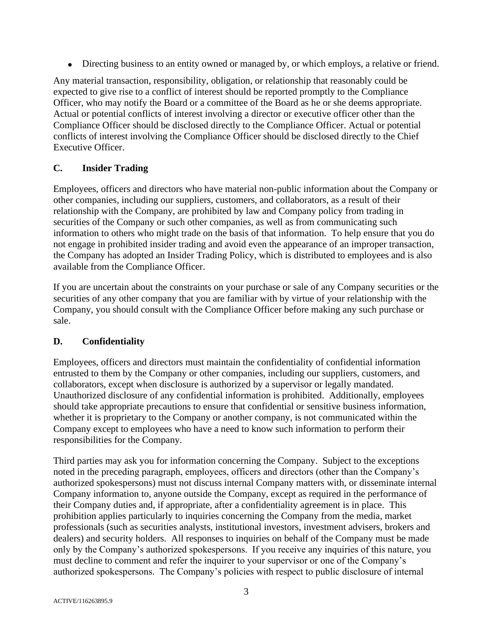• Directing business to an entity owned or managed by, or which employs, a relative or friend.

Any material transaction, responsibility, obligation, or relationship that reasonably could be expected to give rise to a conflict of interest should be reported promptly to the Compliance Officer, who may notify the Board or a committee of the Board as he or she deems appropriate. Actual or potential conflicts of interest involving a director or executive officer other than the Compliance Officer should be disclosed directly to the Compliance Officer. Actual or potential conflicts of interest involving the Compliance Officer should be disclosed directly to the Chief Executive Officer.

### **C. Insider Trading**

Employees, officers and directors who have material non-public information about the Company or other companies, including our suppliers, customers, and collaborators, as a result of their relationship with the Company, are prohibited by law and Company policy from trading in securities of the Company or such other companies, as well as from communicating such information to others who might trade on the basis of that information. To help ensure that you do not engage in prohibited insider trading and avoid even the appearance of an improper transaction, the Company has adopted an Insider Trading Policy, which is distributed to employees and is also available from the Compliance Officer.

If you are uncertain about the constraints on your purchase or sale of any Company securities or the securities of any other company that you are familiar with by virtue of your relationship with the Company, you should consult with the Compliance Officer before making any such purchase or sale.

### **D. Confidentiality**

Employees, officers and directors must maintain the confidentiality of confidential information entrusted to them by the Company or other companies, including our suppliers, customers, and collaborators, except when disclosure is authorized by a supervisor or legally mandated. Unauthorized disclosure of any confidential information is prohibited. Additionally, employees should take appropriate precautions to ensure that confidential or sensitive business information, whether it is proprietary to the Company or another company, is not communicated within the Company except to employees who have a need to know such information to perform their responsibilities for the Company.

Third parties may ask you for information concerning the Company. Subject to the exceptions noted in the preceding paragraph, employees, officers and directors (other than the Company's authorized spokespersons) must not discuss internal Company matters with, or disseminate internal Company information to, anyone outside the Company, except as required in the performance of their Company duties and, if appropriate, after a confidentiality agreement is in place. This prohibition applies particularly to inquiries concerning the Company from the media, market professionals (such as securities analysts, institutional investors, investment advisers, brokers and dealers) and security holders. All responses to inquiries on behalf of the Company must be made only by the Company's authorized spokespersons. If you receive any inquiries of this nature, you must decline to comment and refer the inquirer to your supervisor or one of the Company's authorized spokespersons. The Company's policies with respect to public disclosure of internal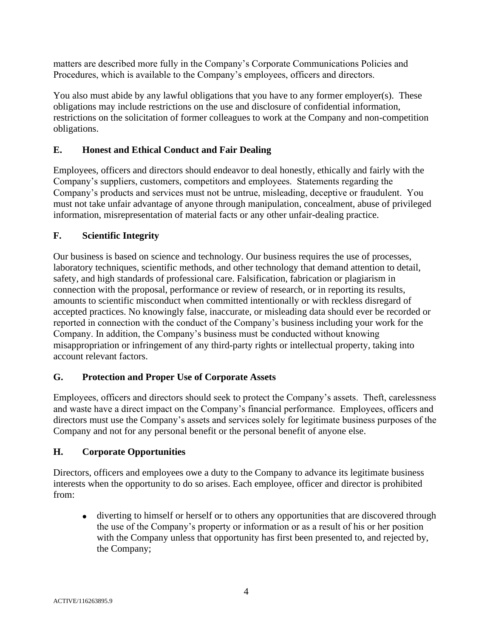matters are described more fully in the Company's Corporate Communications Policies and Procedures, which is available to the Company's employees, officers and directors.

You also must abide by any lawful obligations that you have to any former employer(s). These obligations may include restrictions on the use and disclosure of confidential information, restrictions on the solicitation of former colleagues to work at the Company and non-competition obligations.

## **E. Honest and Ethical Conduct and Fair Dealing**

Employees, officers and directors should endeavor to deal honestly, ethically and fairly with the Company's suppliers, customers, competitors and employees. Statements regarding the Company's products and services must not be untrue, misleading, deceptive or fraudulent. You must not take unfair advantage of anyone through manipulation, concealment, abuse of privileged information, misrepresentation of material facts or any other unfair-dealing practice.

### **F. Scientific Integrity**

Our business is based on science and technology. Our business requires the use of processes, laboratory techniques, scientific methods, and other technology that demand attention to detail, safety, and high standards of professional care. Falsification, fabrication or plagiarism in connection with the proposal, performance or review of research, or in reporting its results, amounts to scientific misconduct when committed intentionally or with reckless disregard of accepted practices. No knowingly false, inaccurate, or misleading data should ever be recorded or reported in connection with the conduct of the Company's business including your work for the Company. In addition, the Company's business must be conducted without knowing misappropriation or infringement of any third-party rights or intellectual property, taking into account relevant factors.

### **G. Protection and Proper Use of Corporate Assets**

Employees, officers and directors should seek to protect the Company's assets. Theft, carelessness and waste have a direct impact on the Company's financial performance. Employees, officers and directors must use the Company's assets and services solely for legitimate business purposes of the Company and not for any personal benefit or the personal benefit of anyone else.

#### **H. Corporate Opportunities**

Directors, officers and employees owe a duty to the Company to advance its legitimate business interests when the opportunity to do so arises. Each employee, officer and director is prohibited from:

• diverting to himself or herself or to others any opportunities that are discovered through the use of the Company's property or information or as a result of his or her position with the Company unless that opportunity has first been presented to, and rejected by, the Company;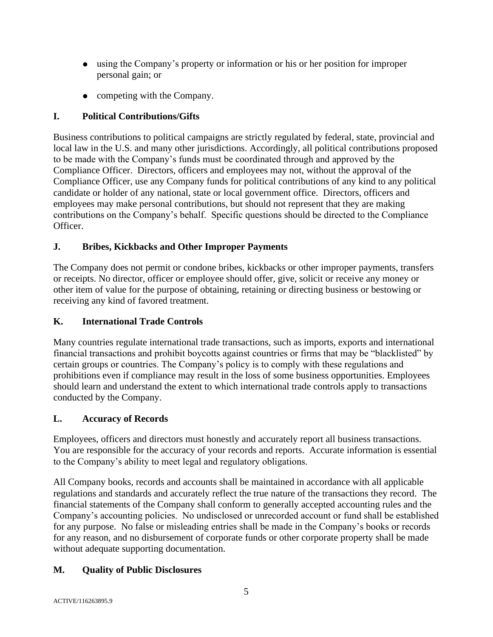- using the Company's property or information or his or her position for improper personal gain; or
- competing with the Company.

# **I. Political Contributions/Gifts**

Business contributions to political campaigns are strictly regulated by federal, state, provincial and local law in the U.S. and many other jurisdictions. Accordingly, all political contributions proposed to be made with the Company's funds must be coordinated through and approved by the Compliance Officer. Directors, officers and employees may not, without the approval of the Compliance Officer, use any Company funds for political contributions of any kind to any political candidate or holder of any national, state or local government office. Directors, officers and employees may make personal contributions, but should not represent that they are making contributions on the Company's behalf. Specific questions should be directed to the Compliance Officer.

## **J. Bribes, Kickbacks and Other Improper Payments**

The Company does not permit or condone bribes, kickbacks or other improper payments, transfers or receipts. No director, officer or employee should offer, give, solicit or receive any money or other item of value for the purpose of obtaining, retaining or directing business or bestowing or receiving any kind of favored treatment.

## **K. International Trade Controls**

Many countries regulate international trade transactions, such as imports, exports and international financial transactions and prohibit boycotts against countries or firms that may be "blacklisted" by certain groups or countries. The Company's policy is to comply with these regulations and prohibitions even if compliance may result in the loss of some business opportunities. Employees should learn and understand the extent to which international trade controls apply to transactions conducted by the Company.

## **L. Accuracy of Records**

Employees, officers and directors must honestly and accurately report all business transactions. You are responsible for the accuracy of your records and reports. Accurate information is essential to the Company's ability to meet legal and regulatory obligations.

All Company books, records and accounts shall be maintained in accordance with all applicable regulations and standards and accurately reflect the true nature of the transactions they record. The financial statements of the Company shall conform to generally accepted accounting rules and the Company's accounting policies. No undisclosed or unrecorded account or fund shall be established for any purpose. No false or misleading entries shall be made in the Company's books or records for any reason, and no disbursement of corporate funds or other corporate property shall be made without adequate supporting documentation.

## **M. Quality of Public Disclosures**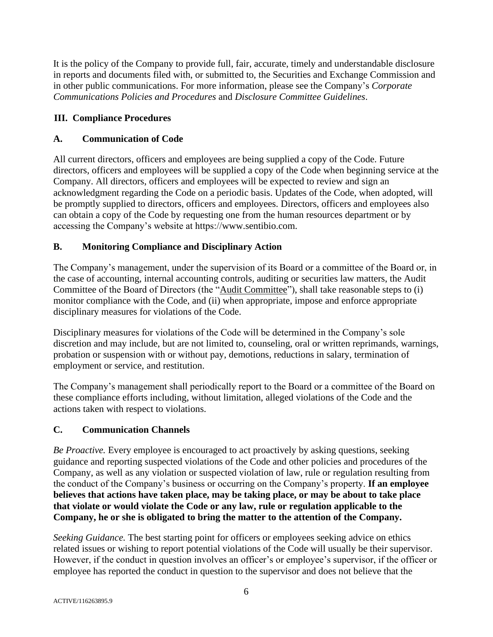It is the policy of the Company to provide full, fair, accurate, timely and understandable disclosure in reports and documents filed with, or submitted to, the Securities and Exchange Commission and in other public communications. For more information, please see the Company's *Corporate Communications Policies and Procedures* and *Disclosure Committee Guidelines*.

## **III. Compliance Procedures**

# **A. Communication of Code**

All current directors, officers and employees are being supplied a copy of the Code. Future directors, officers and employees will be supplied a copy of the Code when beginning service at the Company. All directors, officers and employees will be expected to review and sign an acknowledgment regarding the Code on a periodic basis. Updates of the Code, when adopted, will be promptly supplied to directors, officers and employees. Directors, officers and employees also can obtain a copy of the Code by requesting one from the human resources department or by accessing the Company's website at https://www.sentibio.com.

# **B. Monitoring Compliance and Disciplinary Action**

The Company's management, under the supervision of its Board or a committee of the Board or, in the case of accounting, internal accounting controls, auditing or securities law matters, the Audit Committee of the Board of Directors (the "Audit Committee"), shall take reasonable steps to (i) monitor compliance with the Code, and (ii) when appropriate, impose and enforce appropriate disciplinary measures for violations of the Code.

Disciplinary measures for violations of the Code will be determined in the Company's sole discretion and may include, but are not limited to, counseling, oral or written reprimands, warnings, probation or suspension with or without pay, demotions, reductions in salary, termination of employment or service, and restitution.

The Company's management shall periodically report to the Board or a committee of the Board on these compliance efforts including, without limitation, alleged violations of the Code and the actions taken with respect to violations.

## **C. Communication Channels**

*Be Proactive.* Every employee is encouraged to act proactively by asking questions, seeking guidance and reporting suspected violations of the Code and other policies and procedures of the Company, as well as any violation or suspected violation of law, rule or regulation resulting from the conduct of the Company's business or occurring on the Company's property. **If an employee believes that actions have taken place, may be taking place, or may be about to take place that violate or would violate the Code or any law, rule or regulation applicable to the Company, he or she is obligated to bring the matter to the attention of the Company.**

*Seeking Guidance.* The best starting point for officers or employees seeking advice on ethics related issues or wishing to report potential violations of the Code will usually be their supervisor. However, if the conduct in question involves an officer's or employee's supervisor, if the officer or employee has reported the conduct in question to the supervisor and does not believe that the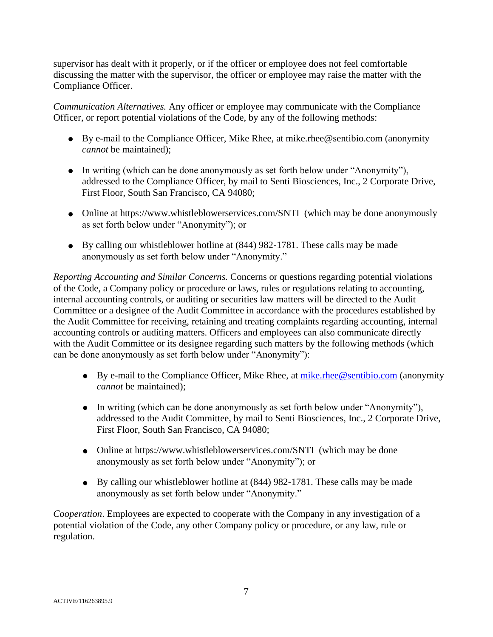supervisor has dealt with it properly, or if the officer or employee does not feel comfortable discussing the matter with the supervisor, the officer or employee may raise the matter with the Compliance Officer.

*Communication Alternatives.* Any officer or employee may communicate with the Compliance Officer, or report potential violations of the Code, by any of the following methods:

- By e-mail to the Compliance Officer, Mike Rhee, at mike.rhee@sentibio.com (anonymity *cannot* be maintained);
- In writing (which can be done anonymously as set forth below under "Anonymity"), addressed to the Compliance Officer, by mail to Senti Biosciences, Inc., 2 Corporate Drive, First Floor, South San Francisco, CA 94080;
- Online at https://www.whistleblowerservices.com/SNTI (which may be done anonymously as set forth below under "Anonymity"); or
- By calling our whistleblower hotline at (844) 982-1781. These calls may be made anonymously as set forth below under "Anonymity."

*Reporting Accounting and Similar Concerns.* Concerns or questions regarding potential violations of the Code, a Company policy or procedure or laws, rules or regulations relating to accounting, internal accounting controls, or auditing or securities law matters will be directed to the Audit Committee or a designee of the Audit Committee in accordance with the procedures established by the Audit Committee for receiving, retaining and treating complaints regarding accounting, internal accounting controls or auditing matters. Officers and employees can also communicate directly with the Audit Committee or its designee regarding such matters by the following methods (which can be done anonymously as set forth below under "Anonymity"):

- By e-mail to the Compliance Officer, Mike Rhee, at [mike.rhee@sentibio.com](mailto:mike.rhee@sentibio.com) (anonymity *cannot* be maintained);
- In writing (which can be done anonymously as set forth below under "Anonymity"), addressed to the Audit Committee, by mail to Senti Biosciences, Inc., 2 Corporate Drive, First Floor, South San Francisco, CA 94080;
- Online at https://www.whistleblowerservices.com/SNTI (which may be done anonymously as set forth below under "Anonymity"); or
- By calling our whistleblower hotline at (844) 982-1781. These calls may be made anonymously as set forth below under "Anonymity."

*Cooperation*. Employees are expected to cooperate with the Company in any investigation of a potential violation of the Code, any other Company policy or procedure, or any law, rule or regulation.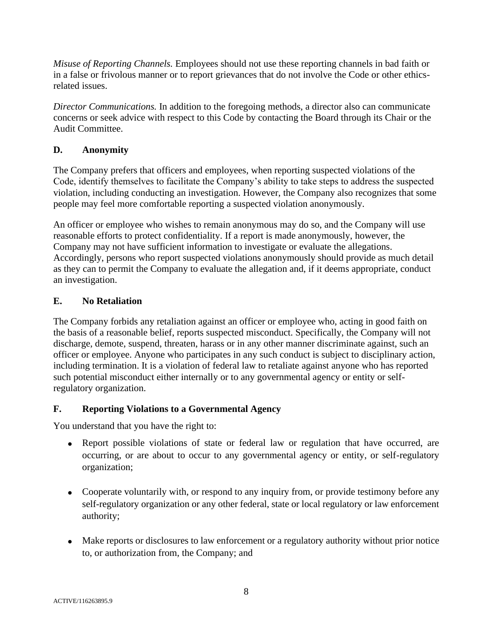*Misuse of Reporting Channels.* Employees should not use these reporting channels in bad faith or in a false or frivolous manner or to report grievances that do not involve the Code or other ethicsrelated issues.

*Director Communications.* In addition to the foregoing methods, a director also can communicate concerns or seek advice with respect to this Code by contacting the Board through its Chair or the Audit Committee.

### **D. Anonymity**

The Company prefers that officers and employees, when reporting suspected violations of the Code, identify themselves to facilitate the Company's ability to take steps to address the suspected violation, including conducting an investigation. However, the Company also recognizes that some people may feel more comfortable reporting a suspected violation anonymously.

An officer or employee who wishes to remain anonymous may do so, and the Company will use reasonable efforts to protect confidentiality. If a report is made anonymously, however, the Company may not have sufficient information to investigate or evaluate the allegations. Accordingly, persons who report suspected violations anonymously should provide as much detail as they can to permit the Company to evaluate the allegation and, if it deems appropriate, conduct an investigation.

### **E. No Retaliation**

The Company forbids any retaliation against an officer or employee who, acting in good faith on the basis of a reasonable belief, reports suspected misconduct. Specifically, the Company will not discharge, demote, suspend, threaten, harass or in any other manner discriminate against, such an officer or employee. Anyone who participates in any such conduct is subject to disciplinary action, including termination. It is a violation of federal law to retaliate against anyone who has reported such potential misconduct either internally or to any governmental agency or entity or selfregulatory organization.

### **F. Reporting Violations to a Governmental Agency**

You understand that you have the right to:

- Report possible violations of state or federal law or regulation that have occurred, are occurring, or are about to occur to any governmental agency or entity, or self-regulatory organization;
- Cooperate voluntarily with, or respond to any inquiry from, or provide testimony before any self-regulatory organization or any other federal, state or local regulatory or law enforcement authority;
- Make reports or disclosures to law enforcement or a regulatory authority without prior notice to, or authorization from, the Company; and